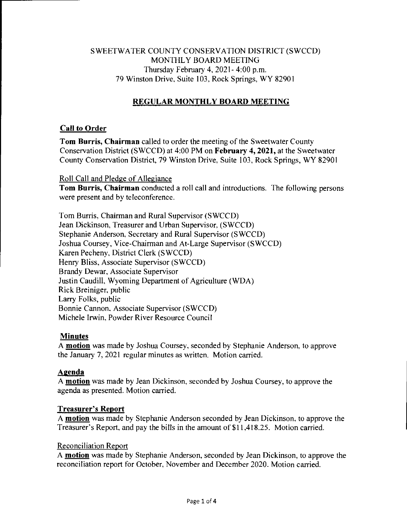# SWEETWATER COUNTY CONSERVATION DISTRICT (SWCCD) MONTHLY BOARD MEETING Thursday February 4, 2021- 4:00 p.m. 79 Winston Drive, Suite 103, Rock Springs, WY 82901

# **REGULAR MONTHLY BOARD MEETING**

# **Call to Order**

**Tom Burris, Chairman** called to order the meeting of the Sweetwater County Conservation District (SWCCD) at 4:00 PM on **February 4, 2021,** at the Sweetwater County Conservation District, 79 Winston Drive, Suite 103, Rock Springs, WY 82901

#### Roll Call and Pledge of Allegiance

**Tom Burris, Chairman** conducted a roll call and introductions. The following persons were present and by teleconference.

Tom Burris, Chairman and Rural Supervisor (SWCCD) Jean Dickinson, Treasurer and Urban Supervisor, (SWCCD) Stephanie Anderson, Secretary and Rural Supervisor (SWCCD) Joshua Coursey, Vice-Chairman and At-Large Supervisor (SWCCD) Karen Pecheny, District Clerk (SWCCD) Henry Bliss, Associate Supervisor (SWCCD) Brandy Dewar, Associate Supervisor Justin Caudill, Wyoming Department of Agriculture (WDA) Rick Breiniger, public Larry Folks, public Bonnie Cannon, Associate Supervisor (SWCCD) Michele Irwin, Powder River Resource Council

# **Minutes**

A **motion** was made by Joshua Coursey, seconded by Stephanie Anderson, to approve the January 7, 2021 regular minutes as written. Motion carried.

# **Agenda**

A **motion** was made by Jean Dickinson, seconded by Joshua Coursey, to approve the agenda as presented. Motion carried.

# **Treasurer's Report**

A **motion** was made by Stephanie Anderson seconded by Jean Dickinson, to approve the Treasurer's Report, and pay the bills in the amount of \$11,418.25. Motion carried.

#### Reconciliation Report

A **motion** was made by Stephanie Anderson, seconded by Jean Dickinson, to approve the reconciliation report for October, November and December 2020. Motion carried.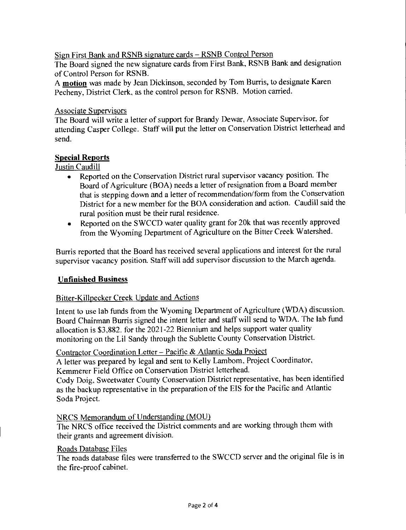Sign First Bank and RSNB signature cards — RSNB Control Person The Board signed the new signature cards from First Bank, RSNB Bank and designation of Control Person for RSNB.

A **motion** was made by Jean Dickinson, seconded by Tom Burris, to designate Karen Pecheny, District Clerk, as the control person for RSNB. Motion carried.

#### Associate Supervisors

The Board will write a letter of support for Brandy Dewar, Associate Supervisor, for attending Casper College. Staff will put the letter on Conservation District letterhead and send.

# **Special Reports**

Justin Caudill

- Reported on the Conservation District rural supervisor vacancy position. The Board of Agriculture (BOA) needs a letter of resignation from a Board member that is stepping down and a letter of recommendation/form from the Conservation District for a new member for the BOA consideration and action. Caudill said the rural position must be their rural residence.
- Reported on the SWCCD water quality grant for 20k that was recently approved from the Wyoming Department of Agriculture on the Bitter Creek Watershed.

Burris reported that the Board has received several applications and interest for the rural supervisor vacancy position. Staff will add supervisor discussion to the March agenda.

# **Unfinished Business**

# Bitter-Killpecker Creek Update and Actions

Intent to use lab funds from the Wyoming Department of Agriculture (WDA) discussion. Board Chairman Burris signed the intent letter and staff will send to WDA. The lab fund allocation is \$3,882. for the 2021-22 Biennium and helps support water quality monitoring on the Lil Sandy through the Sublette County Conservation District.

Contractor Coordination Letter — Pacific & Atlantic Soda Project

A letter was prepared by legal and sent to Kelly Lamborn, Project Coordinator, Kemmerer Field Office on Conservation District letterhead.

Cody Doig, Sweetwater County Conservation District representative, has been identified as the backup representative in the preparation of the EIS for the Pacific and Atlantic Soda Project.

# NRCS Memorandum of Understanding (MOU)

The NRCS office received the District comments and are working through them with their grants and agreement division.

#### Roads Database Files

The roads database files were transferred to the SWCCD server and the original file is in the fire-proof cabinet.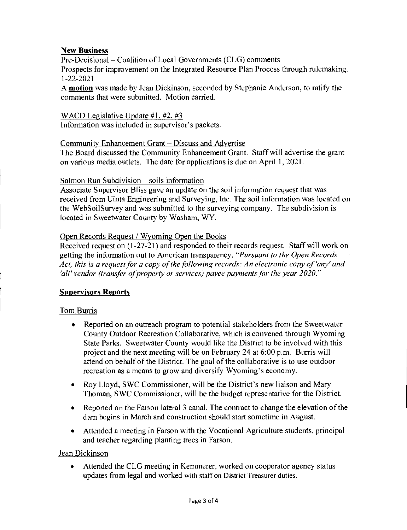# **New Business**

Pre-Decisional — Coalition of Local Governments (CLG) comments Prospects for improvement on the Integrated Resource Plan Process through rulemaking. 1-22-2021

A **motion** was made by Jean Dickinson, seconded by Stephanie Anderson, to ratify the comments that were submitted. Motion carried.

#### WACD Legislative Update  $#1, #2, #3$

Information was included in supervisor's packets.

#### Community Enhancement Grant — Discuss and Advertise

The Board discussed the Community Enhancement Grant. Staff will advertise the grant on various media outlets. The date for applications is due on April I, 2021.

#### Salmon Run Subdivision — soils information

Associate Supervisor Bliss gave an update on the soil information request that was received from Uinta Engineering and Surveying, Inc. The soil information was located on the WebSoilSurvey and was submitted to the surveying company. The subdivision is located in Sweetwater County by Washam, WY.

#### Open Records Request / Wyoming Open the Books

Received request on (1-27-21) and responded to their records request. Staff will work on getting the information out to American transparency. *"Pursuant to the Open Records Act, this is a request for a copy of the following records: An electronic copy of 'any' and 'all' vendor (transfer of property or services) payee payments for the year 2020."* 

# **Supervisors Reports**

# Tom Burris

- Reported on an outreach program to potential stakeholders from the Sweetwater County Outdoor Recreation Collaborative, which is convened through Wyoming State Parks. Sweetwater County would like the District to be involved with this project and the next meeting will be on February 24 at 6:00 p.m. Burris will attend on behalf of the District. The goal of the collaborative is to use outdoor recreation as a means to grow and diversify Wyoming's economy.
- Roy Lloyd, SWC Commissioner, will be the District's new liaison and Mary Thoman, SWC Commissioner, will be the budget representative for the District.
- Reported on the Farson lateral 3 canal. The contract to change the elevation of the dam begins in March and construction should start sometime in August.
- Attended a meeting in Farson with the Vocational Agriculture students, principal and teacher regarding planting trees in Farson.

#### Jean Dickinson

• Attended the CLG meeting in Kemmerer, worked on cooperator agency status updates from legal and worked with staff on District Treasurer duties.